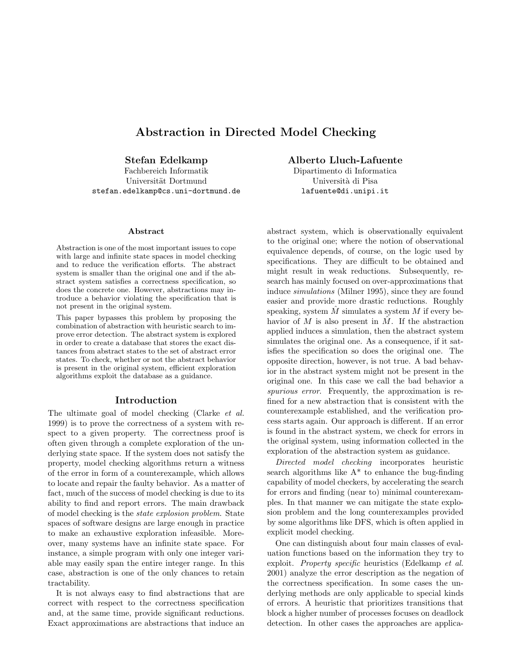# Abstraction in Directed Model Checking

Stefan Edelkamp

Fachbereich Informatik Universität Dortmund stefan.edelkamp@cs.uni-dortmund.de

#### Abstract

Abstraction is one of the most important issues to cope with large and infinite state spaces in model checking and to reduce the verification efforts. The abstract system is smaller than the original one and if the abstract system satisfies a correctness specification, so does the concrete one. However, abstractions may introduce a behavior violating the specification that is not present in the original system.

This paper bypasses this problem by proposing the combination of abstraction with heuristic search to improve error detection. The abstract system is explored in order to create a database that stores the exact distances from abstract states to the set of abstract error states. To check, whether or not the abstract behavior is present in the original system, efficient exploration algorithms exploit the database as a guidance.

### Introduction

The ultimate goal of model checking (Clarke et al. 1999) is to prove the correctness of a system with respect to a given property. The correctness proof is often given through a complete exploration of the underlying state space. If the system does not satisfy the property, model checking algorithms return a witness of the error in form of a counterexample, which allows to locate and repair the faulty behavior. As a matter of fact, much of the success of model checking is due to its ability to find and report errors. The main drawback of model checking is the state explosion problem. State spaces of software designs are large enough in practice to make an exhaustive exploration infeasible. Moreover, many systems have an infinite state space. For instance, a simple program with only one integer variable may easily span the entire integer range. In this case, abstraction is one of the only chances to retain tractability.

It is not always easy to find abstractions that are correct with respect to the correctness specification and, at the same time, provide significant reductions. Exact approximations are abstractions that induce an Alberto Lluch-Lafuente

Dipartimento di Informatica Università di Pisa lafuente@di.unipi.it

abstract system, which is observationally equivalent to the original one; where the notion of observational equivalence depends, of course, on the logic used by specifications. They are difficult to be obtained and might result in weak reductions. Subsequently, research has mainly focused on over-approximations that induce simulations (Milner 1995), since they are found easier and provide more drastic reductions. Roughly speaking, system  $\tilde{M}$  simulates a system  $\tilde{M}$  if every behavior of M is also present in  $\hat{M}$ . If the abstraction applied induces a simulation, then the abstract system simulates the original one. As a consequence, if it satisfies the specification so does the original one. The opposite direction, however, is not true. A bad behavior in the abstract system might not be present in the original one. In this case we call the bad behavior a spurious error. Frequently, the approximation is refined for a new abstraction that is consistent with the counterexample established, and the verification process starts again. Our approach is different. If an error is found in the abstract system, we check for errors in the original system, using information collected in the exploration of the abstraction system as guidance.

Directed model checking incorporates heuristic search algorithms like  $A^*$  to enhance the bug-finding capability of model checkers, by accelerating the search for errors and finding (near to) minimal counterexamples. In that manner we can mitigate the state explosion problem and the long counterexamples provided by some algorithms like DFS, which is often applied in explicit model checking.

One can distinguish about four main classes of evaluation functions based on the information they try to exploit. Property specific heuristics (Edelkamp et al. 2001) analyze the error description as the negation of the correctness specification. In some cases the underlying methods are only applicable to special kinds of errors. A heuristic that prioritizes transitions that block a higher number of processes focuses on deadlock detection. In other cases the approaches are applica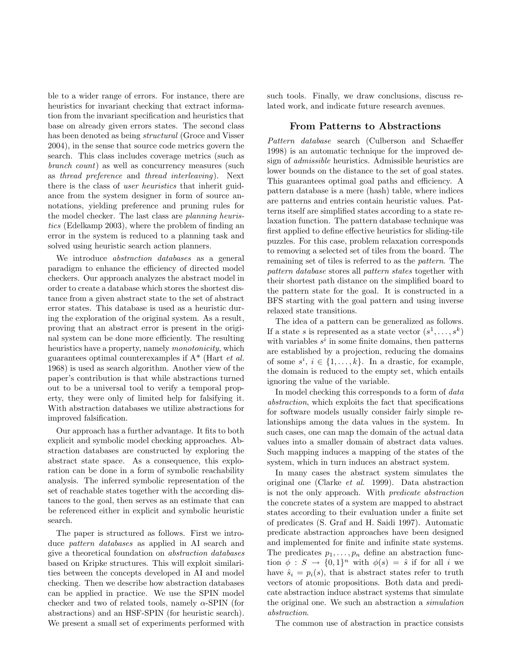ble to a wider range of errors. For instance, there are heuristics for invariant checking that extract information from the invariant specification and heuristics that base on already given errors states. The second class has been denoted as being *structural* (Groce and Visser 2004), in the sense that source code metrics govern the search. This class includes coverage metrics (such as branch count) as well as concurrency measures (such as thread preference and thread interleaving). Next there is the class of user heuristics that inherit guidance from the system designer in form of source annotations, yielding preference and pruning rules for the model checker. The last class are planning heuristics (Edelkamp 2003), where the problem of finding an error in the system is reduced to a planning task and solved using heuristic search action planners.

We introduce *abstraction databases* as a general paradigm to enhance the efficiency of directed model checkers. Our approach analyzes the abstract model in order to create a database which stores the shortest distance from a given abstract state to the set of abstract error states. This database is used as a heuristic during the exploration of the original system. As a result, proving that an abstract error is present in the original system can be done more efficiently. The resulting heuristics have a property, namely *monotonicity*, which guarantees optimal counterexamples if  $A^*$  (Hart *et al.*) 1968) is used as search algorithm. Another view of the paper's contribution is that while abstractions turned out to be a universal tool to verify a temporal property, they were only of limited help for falsifying it. With abstraction databases we utilize abstractions for improved falsification.

Our approach has a further advantage. It fits to both explicit and symbolic model checking approaches. Abstraction databases are constructed by exploring the abstract state space. As a consequence, this exploration can be done in a form of symbolic reachability analysis. The inferred symbolic representation of the set of reachable states together with the according distances to the goal, then serves as an estimate that can be referenced either in explicit and symbolic heuristic search.

The paper is structured as follows. First we introduce pattern databases as applied in AI search and give a theoretical foundation on abstraction databases based on Kripke structures. This will exploit similarities between the concepts developed in AI and model checking. Then we describe how abstraction databases can be applied in practice. We use the SPIN model checker and two of related tools, namely  $\alpha$ -SPIN (for abstractions) and an HSF-SPIN (for heuristic search). We present a small set of experiments performed with

such tools. Finally, we draw conclusions, discuss related work, and indicate future research avenues.

## From Patterns to Abstractions

Pattern database search (Culberson and Schaeffer 1998) is an automatic technique for the improved design of admissible heuristics. Admissible heuristics are lower bounds on the distance to the set of goal states. This guarantees optimal goal paths and efficiency. A pattern database is a mere (hash) table, where indices are patterns and entries contain heuristic values. Patterns itself are simplified states according to a state relaxation function. The pattern database technique was first applied to define effective heuristics for sliding-tile puzzles. For this case, problem relaxation corresponds to removing a selected set of tiles from the board. The remaining set of tiles is referred to as the pattern. The pattern database stores all pattern states together with their shortest path distance on the simplified board to the pattern state for the goal. It is constructed in a BFS starting with the goal pattern and using inverse relaxed state transitions.

The idea of a pattern can be generalized as follows. If a state s is represented as a state vector  $(s^1, \ldots, s^k)$ with variables  $s^i$  in some finite domains, then patterns are established by a projection, reducing the domains of some  $s^i$ ,  $i \in \{1, \ldots, k\}$ . In a drastic, for example, the domain is reduced to the empty set, which entails ignoring the value of the variable.

In model checking this corresponds to a form of *data* abstraction, which exploits the fact that specifications for software models usually consider fairly simple relationships among the data values in the system. In such cases, one can map the domain of the actual data values into a smaller domain of abstract data values. Such mapping induces a mapping of the states of the system, which in turn induces an abstract system.

In many cases the abstract system simulates the original one (Clarke et al. 1999). Data abstraction is not the only approach. With predicate abstraction the concrete states of a system are mapped to abstract states according to their evaluation under a finite set of predicates (S. Graf and H. Saidi 1997). Automatic predicate abstraction approaches have been designed and implemented for finite and infinite state systems. The predicates  $p_1, \ldots, p_n$  define an abstraction function  $\phi : S \to \{0,1\}^n$  with  $\phi(s) = \hat{s}$  if for all i we have  $\hat{s}_i = p_i(s)$ , that is abstract states refer to truth vectors of atomic propositions. Both data and predicate abstraction induce abstract systems that simulate the original one. We such an abstraction a simulation abstraction.

The common use of abstraction in practice consists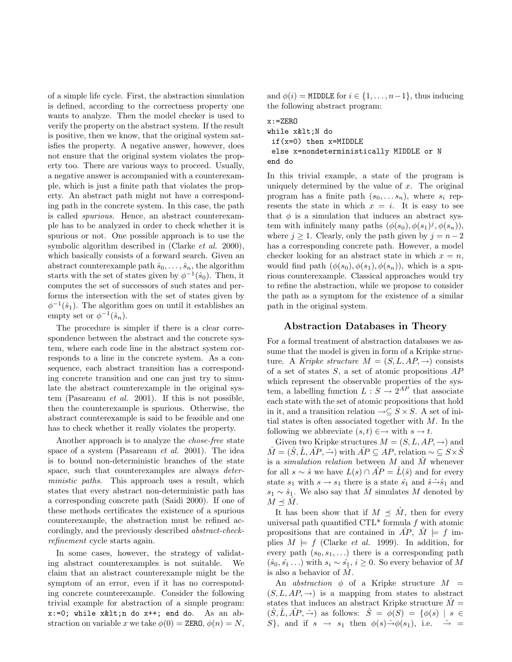of a simple life cycle. First, the abstraction simulation is defined, according to the correctness property one wants to analyze. Then the model checker is used to verify the property on the abstract system. If the result is positive, then we know, that the original system satisfies the property. A negative answer, however, does not ensure that the original system violates the property too. There are various ways to proceed. Usually, a negative answer is accompanied with a counterexample, which is just a finite path that violates the property. An abstract path might not have a corresponding path in the concrete system. In this case, the path is called spurious. Hence, an abstract counterexample has to be analyzed in order to check whether it is spurious or not. One possible approach is to use the symbolic algorithm described in (Clarke *et al.* 2000), which basically consists of a forward search. Given an abstract counterexample path  $\hat{s}_0, \ldots, \hat{s}_n$ , the algorithm starts with the set of states given by  $\phi^{-1}(\hat{s}_0)$ . Then, it computes the set of successors of such states and performs the intersection with the set of states given by  $\phi^{-1}(\hat{s}_1)$ . The algorithm goes on until it establishes an empty set or  $\phi^{-1}(\hat{s}_n)$ .

The procedure is simpler if there is a clear correspondence between the abstract and the concrete system, where each code line in the abstract system corresponds to a line in the concrete system. As a consequence, each abstract transition has a corresponding concrete transition and one can just try to simulate the abstract counterexample in the original system (Pasareanu et al. 2001). If this is not possible, then the counterexample is spurious. Otherwise, the abstract counterexample is said to be feasible and one has to check whether it really violates the property.

Another approach is to analyze the chose-free state space of a system (Pasareanu et al. 2001). The idea is to bound non-deterministic branches of the state space, such that counterexamples are always *deter*ministic paths. This approach uses a result, which states that every abstract non-deterministic path has a corresponding concrete path (Saidi 2000). If one of these methods certificates the existence of a spurious counterexample, the abstraction must be refined accordingly, and the previously described abstract-checkrefinement cycle starts again.

In some cases, however, the strategy of validating abstract counterexamples is not suitable. We claim that an abstract counterexample might be the symptom of an error, even if it has no corresponding concrete counterexample. Consider the following trivial example for abstraction of a simple program:  $x:=0$ ; while  $x\<1$ t; n do  $x++$ ; end do. As an abstraction on variable x we take  $\phi(0) = \text{ZERO}, \phi(n) = N$ ,

and  $\phi(i) = \text{MIDDLE}$  for  $i \in \{1, \ldots, n-1\}$ , thus inducing the following abstract program:

x:=ZERO while x<N do if(x=0) then x=MIDDLE else x=nondeterministically MIDDLE or N end do

In this trivial example, a state of the program is uniquely determined by the value of  $x$ . The original program has a finite path  $(s_0, \ldots s_n)$ , where  $s_i$  represents the state in which  $x = i$ . It is easy to see that  $\phi$  is a simulation that induces an abstract system with infinitely many paths  $(\phi(s_0), \phi(s_1)^j, \phi(s_n)),$ where  $j \geq 1$ . Clearly, only the path given by  $j = n - 2$ has a corresponding concrete path. However, a model checker looking for an abstract state in which  $x = n$ , would find path  $(\phi(s_0), \phi(s_1), \phi(s_n))$ , which is a spurious counterexample. Classical approaches would try to refine the abstraction, while we propose to consider the path as a symptom for the existence of a similar path in the original system.

### Abstraction Databases in Theory

For a formal treatment of abstraction databases we assume that the model is given in form of a Kripke structure. A Kripke structure  $M = (S, L, AP, \rightarrow)$  consists of a set of states  $S$ , a set of atomic propositions  $AP$ which represent the observable properties of the system, a labelling function  $L : S \to 2^{AP}$  that associate each state with the set of atomic propositions that hold in it, and a transition relation  $\rightarrow \subseteq S \times S$ . A set of initial states is often associated together with  $M$ . In the following we abbreviate  $(s,t) \in \rightarrow \text{with } s \rightarrow t$ .

Given two Kripke structures  $M = (S, L, AP, \rightarrow)$  and  $\hat{M} = (\hat{S}, \hat{L}, \hat{AP}, \hat{\rightarrow})$  with  $\hat{AP} \subseteq AP$ , relation ~  $\subseteq S \times \hat{S}$ is a *simulation relation* between  $M$  and  $\hat{M}$  whenever for all  $s \sim \hat{s}$  we have  $L(s) \cap \widehat{AP} = \widehat{L}(\hat{s})$  and for every state  $s_1$  with  $s \to s_1$  there is a state  $\hat{s_1}$  and  $\hat{s} \hat{\to} \hat{s}_1$  and  $s_1 \sim \hat{s}_1$ . We also say that M<sup>s</sup> simulates M denoted by  $M \prec \hat{M}$ .

It has been show that if  $M \preceq \tilde{M}$ , then for every universal path quantified  $\text{CTL}^*$  formula  $f$  with atomic propositions that are contained in  $\widehat{AP}$ ,  $\widehat{M} \models f$  implies  $M \models f$  (Clarke *et al.* 1999). In addition, for every path  $(s_0, s_1, \ldots)$  there is a corresponding path  $(\hat{s}_0, \hat{s}_1 \dots)$  with  $s_i \sim \hat{s}_1$ ,  $i \geq 0$ . So every behavior of M is also a behavior of  $M$ .

An *abstraction*  $\phi$  of a Kripke structure  $M =$  $(S, L, AP, \rightarrow)$  is a mapping from states to abstract states that induces an abstract Kripke structure  $\tilde{M}$  =  $(\hat{S}, \hat{L}, \hat{AP}, \hat{\rightarrow})$  as follows:  $\hat{S} = \phi(S) = {\phi(s) | s \in \mathbb{R}^3}$  $S$ , and if  $s \rightarrow s_1$  then  $\phi(s) \rightarrow \phi(s_1)$ , i.e.  $\hat{\rightarrow}$  =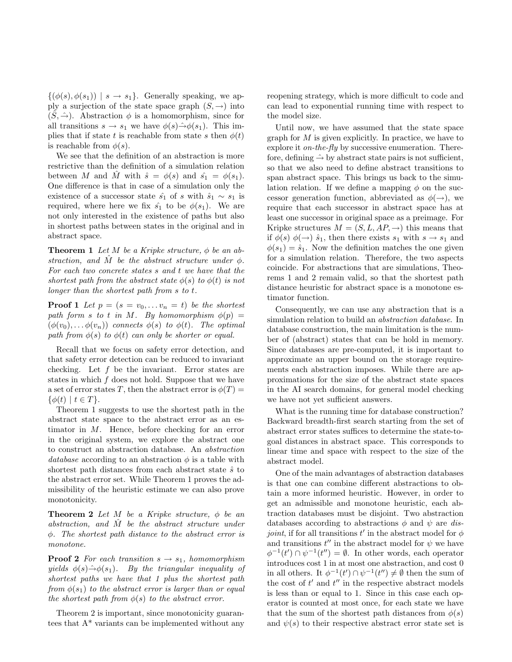$\{(\phi(s), \phi(s_1)) \mid s \to s_1\}.$  Generally speaking, we apply a surjection of the state space graph  $(S, \rightarrow)$  into  $(\hat{S}, \hat{\rightarrow})$ . Abstraction  $\phi$  is a homomorphism, since for all transitions  $s \to s_1$  we have  $\phi(s) \hat{\rightarrow} \phi(s_1)$ . This implies that if state t is reachable from state s then  $\phi(t)$ is reachable from  $\phi(s)$ .

We see that the definition of an abstraction is more restrictive than the definition of a simulation relation between M and M with  $\hat{s} = \phi(s)$  and  $\hat{s_1} = \phi(s_1)$ . One difference is that in case of a simulation only the existence of a successor state  $\hat{s}_1$  of s with  $\hat{s}_1 \sim s_1$  is required, where here we fix  $\hat{s_1}$  to be  $\phi(s_1)$ . We are not only interested in the existence of paths but also in shortest paths between states in the original and in abstract space.

**Theorem 1** Let M be a Kripke structure,  $\phi$  be an abstraction, and M be the abstract structure under  $\phi$ . For each two concrete states s and t we have that the shortest path from the abstract state  $\phi(s)$  to  $\phi(t)$  is not longer than the shortest path from s to t.

**Proof 1** Let  $p = (s = v_0, \ldots v_n = t)$  be the shortest path form s to t in M. By homomorphism  $\phi(p)$  =  $(\phi(v_0), \ldots, \phi(v_n))$  connects  $\phi(s)$  to  $\phi(t)$ . The optimal path from  $\phi(s)$  to  $\phi(t)$  can only be shorter or equal.

Recall that we focus on safety error detection, and that safety error detection can be reduced to invariant checking. Let  $f$  be the invariant. Error states are states in which  $f$  does not hold. Suppose that we have a set of error states T, then the abstract error is  $\phi(T) =$  $\{\phi(t) \mid t \in T\}.$ 

Theorem 1 suggests to use the shortest path in the abstract state space to the abstract error as an estimator in M. Hence, before checking for an error in the original system, we explore the abstract one to construct an abstraction database. An abstraction database according to an abstraction  $\phi$  is a table with shortest path distances from each abstract state  $\hat{s}$  to the abstract error set. While Theorem 1 proves the admissibility of the heuristic estimate we can also prove monotonicity.

**Theorem 2** Let M be a Kripke structure,  $\phi$  be an abstraction, and  $\tilde{M}$  be the abstract structure under φ. The shortest path distance to the abstract error is monotone.

**Proof 2** For each transition  $s \rightarrow s_1$ , homomorphism yields  $\phi(s) \hat{\rightarrow} \phi(s_1)$ . By the triangular inequality of shortest paths we have that 1 plus the shortest path from  $\phi(s_1)$  to the abstract error is larger than or equal the shortest path from  $\phi(s)$  to the abstract error.

Theorem 2 is important, since monotonicity guarantees that A\* variants can be implemented without any reopening strategy, which is more difficult to code and can lead to exponential running time with respect to the model size.

Until now, we have assumed that the state space graph for  $M$  is given explicitly. In practice, we have to explore it *on-the-fly* by successive enumeration. Therefore, defining  $\hat{\rightarrow}$  by abstract state pairs is not sufficient, so that we also need to define abstract transitions to span abstract space. This brings us back to the simulation relation. If we define a mapping  $\phi$  on the successor generation function, abbreviated as  $\phi(\rightarrow)$ , we require that each successor in abstract space has at least one successor in original space as a preimage. For Kripke structures  $M = (S, L, AP, \rightarrow)$  this means that if  $\phi(s)$   $\phi(\rightarrow)$   $\hat{s}_1$ , then there exists  $s_1$  with  $s \rightarrow s_1$  and  $\phi(s_1) = \hat{s}_1$ . Now the definition matches the one given for a simulation relation. Therefore, the two aspects coincide. For abstractions that are simulations, Theorems 1 and 2 remain valid, so that the shortest path distance heuristic for abstract space is a monotone estimator function.

Consequently, we can use any abstraction that is a simulation relation to build an abstraction database. In database construction, the main limitation is the number of (abstract) states that can be hold in memory. Since databases are pre-computed, it is important to approximate an upper bound on the storage requirements each abstraction imposes. While there are approximations for the size of the abstract state spaces in the AI search domains, for general model checking we have not yet sufficient answers.

What is the running time for database construction? Backward breadth-first search starting from the set of abstract error states suffices to determine the state-togoal distances in abstract space. This corresponds to linear time and space with respect to the size of the abstract model.

One of the main advantages of abstraction databases is that one can combine different abstractions to obtain a more informed heuristic. However, in order to get an admissible and monotone heuristic, each abtraction databases must be disjoint. Two abstraction databases according to abstractions  $\phi$  and  $\psi$  are disjoint, if for all transitions  $t'$  in the abstract model for  $\phi$ and transitions  $t''$  in the abstract model for  $\psi$  we have  $\phi^{-1}(t') \cap \psi^{-1}(t'') = \emptyset$ . In other words, each operator introduces cost 1 in at most one abstraction, and cost 0 in all others. It  $\phi^{-1}(t') \cap \psi^{-1}(t'') \neq \emptyset$  then the sum of the cost of  $t'$  and  $t''$  in the respective abstract models is less than or equal to 1. Since in this case each operator is counted at most once, for each state we have that the sum of the shortest path distances from  $\phi(s)$ and  $\psi(s)$  to their respective abstract error state set is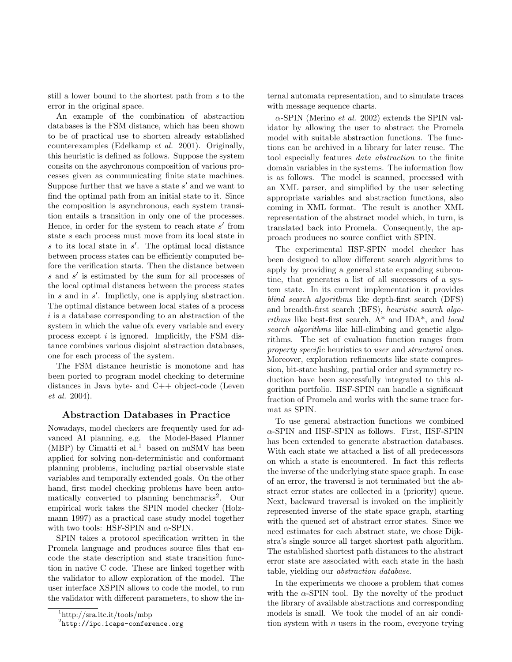still a lower bound to the shortest path from s to the error in the original space.

An example of the combination of abstraction databases is the FSM distance, which has been shown to be of practical use to shorten already established counterexamples (Edelkamp et al. 2001). Originally, this heuristic is defined as follows. Suppose the system consits on the asychronous composition of various processes given as communicating finite state machines. Suppose further that we have a state  $s'$  and we want to find the optimal path from an initial state to it. Since the composition is asynchronous, each system transition entails a transition in only one of the processes. Hence, in order for the system to reach state  $s'$  from state s each process must move from its local state in  $s$  to its local state in  $s'$ . The optimal local distance between process states can be efficiently computed before the verification starts. Then the distance between s and s' is estimated by the sum for all processes of the local optimal distances between the process states in  $s$  and in  $s'$ . Implictly, one is applying abstraction. The optimal distance between local states of a process  $i$  is a database corresponding to an abstraction of the system in which the value ofx every variable and every process except  $i$  is ignored. Implicitly, the FSM distance combines various disjoint abstraction databases, one for each process of the system.

The FSM distance heuristic is monotone and has been ported to program model checking to determine distances in Java byte- and C++ object-code (Leven et al. 2004).

#### Abstraction Databases in Practice

Nowadays, model checkers are frequently used for advanced AI planning, e.g. the Model-Based Planner (MBP) by Cimatti et al.<sup>1</sup> based on nuSMV has been applied for solving non-deterministic and conformant planning problems, including partial observable state variables and temporally extended goals. On the other hand, first model checking problems have been automatically converted to planning benchmarks<sup>2</sup>. Our empirical work takes the SPIN model checker (Holzmann 1997) as a practical case study model together with two tools: HSF-SPIN and  $\alpha$ -SPIN.

SPIN takes a protocol specification written in the Promela language and produces source files that encode the state description and state transition function in native C code. These are linked together with the validator to allow exploration of the model. The user interface XSPIN allows to code the model, to run the validator with different parameters, to show the in-

2 http://ipc.icaps-conference.org

ternal automata representation, and to simulate traces with message sequence charts.

 $\alpha$ -SPIN (Merino *et al.* 2002) extends the SPIN validator by allowing the user to abstract the Promela model with suitable abstraction functions. The functions can be archived in a library for later reuse. The tool especially features data abstraction to the finite domain variables in the systems. The information flow is as follows. The model is scanned, processed with an XML parser, and simplified by the user selecting appropriate variables and abstraction functions, also coming in XML format. The result is another XML representation of the abstract model which, in turn, is translated back into Promela. Consequently, the approach produces no source conflict with SPIN.

The experimental HSF-SPIN model checker has been designed to allow different search algorithms to apply by providing a general state expanding subroutine, that generates a list of all successors of a system state. In its current implementation it provides blind search algorithms like depth-first search (DFS) and breadth-first search (BFS), heuristic search algorithms like best-first search,  $A^*$  and IDA\*, and *local* search algorithms like hill-climbing and genetic algorithms. The set of evaluation function ranges from property specific heuristics to user and structural ones. Moreover, exploration refinements like state compression, bit-state hashing, partial order and symmetry reduction have been successfully integrated to this algorithm portfolio. HSF-SPIN can handle a significant fraction of Promela and works with the same trace format as SPIN.

To use general abstraction functions we combined  $\alpha$ -SPIN and HSF-SPIN as follows. First, HSF-SPIN has been extended to generate abstraction databases. With each state we attached a list of all predecessors on which a state is encountered. In fact this reflects the inverse of the underlying state space graph. In case of an error, the traversal is not terminated but the abstract error states are collected in a (priority) queue. Next, backward traversal is invoked on the implicitly represented inverse of the state space graph, starting with the queued set of abstract error states. Since we need estimates for each abstract state, we chose Dijkstra's single source all target shortest path algorithm. The established shortest path distances to the abstract error state are associated with each state in the hash table, yielding our abstraction database.

In the experiments we choose a problem that comes with the  $\alpha$ -SPIN tool. By the novelty of the product the library of available abstractions and corresponding models is small. We took the model of an air condition system with  $n$  users in the room, everyone trying

<sup>1</sup>http://sra.itc.it/tools/mbp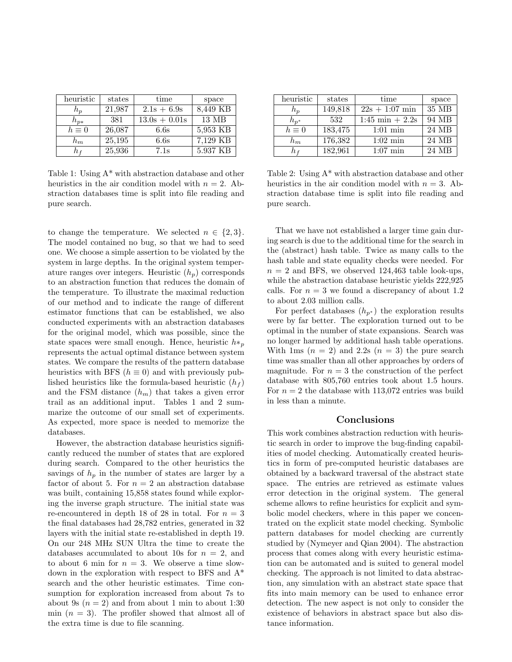| heuristic   | states | time            | space                 |
|-------------|--------|-----------------|-----------------------|
| $n_p$       | 21,987 | $2.1s + 6.9s$   | 8,449 KB              |
| $h_{p*}$    | 381    | $13.0s + 0.01s$ | 13 MB                 |
| $h\equiv 0$ | 26,087 | 6.6s            | 5,953 KB              |
| $h_m$       | 25,195 | 6.6s            | $7,\overline{129}$ KB |
| h f         | 25,936 | 7.1s            | 5.937 KB              |

Table 1: Using A\* with abstraction database and other heuristics in the air condition model with  $n = 2$ . Abstraction databases time is split into file reading and pure search.

to change the temperature. We selected  $n \in \{2,3\}.$ The model contained no bug, so that we had to seed one. We choose a simple assertion to be violated by the system in large depths. In the original system temperature ranges over integers. Heuristic  $(h_p)$  corresponds to an abstraction function that reduces the domain of the temperature. To illustrate the maximal reduction of our method and to indicate the range of different estimator functions that can be established, we also conducted experiments with an abstraction databases for the original model, which was possible, since the state spaces were small enough. Hence, heuristic  $h*_p$ represents the actual optimal distance between system states. We compare the results of the pattern database heuristics with BFS ( $h \equiv 0$ ) and with previously published heuristics like the formula-based heuristic  $(h_f)$ and the FSM distance  $(h_m)$  that takes a given error trail as an additional input. Tables 1 and 2 summarize the outcome of our small set of experiments. As expected, more space is needed to memorize the databases.

However, the abstraction database heuristics significantly reduced the number of states that are explored during search. Compared to the other heuristics the savings of  $h_p$  in the number of states are larger by a factor of about 5. For  $n = 2$  an abstraction database was built, containing  $15,858$  states found while exploring the inverse graph structure. The initial state was re-encountered in depth 18 of 28 in total. For  $n = 3$ the final databases had 28,782 entries, generated in 32 layers with the initial state re-established in depth 19. On our 248 MHz SUN Ultra the time to create the databases accumulated to about 10s for  $n = 2$ , and to about 6 min for  $n = 3$ . We observe a time slowdown in the exploration with respect to BFS and A\* search and the other heuristic estimates. Time consumption for exploration increased from about 7s to about 9s  $(n = 2)$  and from about 1 min to about 1:30 min  $(n = 3)$ . The profiler showed that almost all of the extra time is due to file scanning.

| heuristic   | states  | time                      | space |
|-------------|---------|---------------------------|-------|
| $n_{\rm n}$ | 149,818 | $22s + 1:07$ min          | 35 MB |
| $h_{n^*}$   | 532     | $1:45 \text{ min} + 2.2s$ | 94 MB |
| $h\equiv 0$ | 183,475 | $1:01 \text{ min}$        | 24 MB |
| $h_m$       | 176,382 | $1:02 \text{ min}$        | 24 MB |
| h i         | 182,961 | $1:07$ min                | 24 MB |

Table 2: Using A\* with abstraction database and other heuristics in the air condition model with  $n = 3$ . Abstraction database time is split into file reading and pure search.

That we have not established a larger time gain during search is due to the additional time for the search in the (abstract) hash table. Twice as many calls to the hash table and state equality checks were needed. For  $n = 2$  and BFS, we observed 124,463 table look-ups, while the abstraction database heuristic yields 222,925 calls. For  $n = 3$  we found a discrepancy of about 1.2 to about 2.03 million calls.

For perfect databases  $(h_{p^*})$  the exploration results were by far better. The exploration turned out to be optimal in the number of state expansions. Search was no longer harmed by additional hash table operations. With 1ms  $(n = 2)$  and 2.2s  $(n = 3)$  the pure search time was smaller than all other approaches by orders of magnitude. For  $n = 3$  the construction of the perfect database with 805,760 entries took about 1.5 hours. For  $n = 2$  the database with 113,072 entries was build in less than a minute.

### Conclusions

This work combines abstraction reduction with heuristic search in order to improve the bug-finding capabilities of model checking. Automatically created heuristics in form of pre-computed heuristic databases are obtained by a backward traversal of the abstract state space. The entries are retrieved as estimate values error detection in the original system. The general scheme allows to refine heuristics for explicit and symbolic model checkers, where in this paper we concentrated on the explicit state model checking. Symbolic pattern databases for model checking are currently studied by (Nymeyer and Qian 2004). The abstraction process that comes along with every heuristic estimation can be automated and is suited to general model checking. The approach is not limited to data abstraction, any simulation with an abstract state space that fits into main memory can be used to enhance error detection. The new aspect is not only to consider the existence of behaviors in abstract space but also distance information.